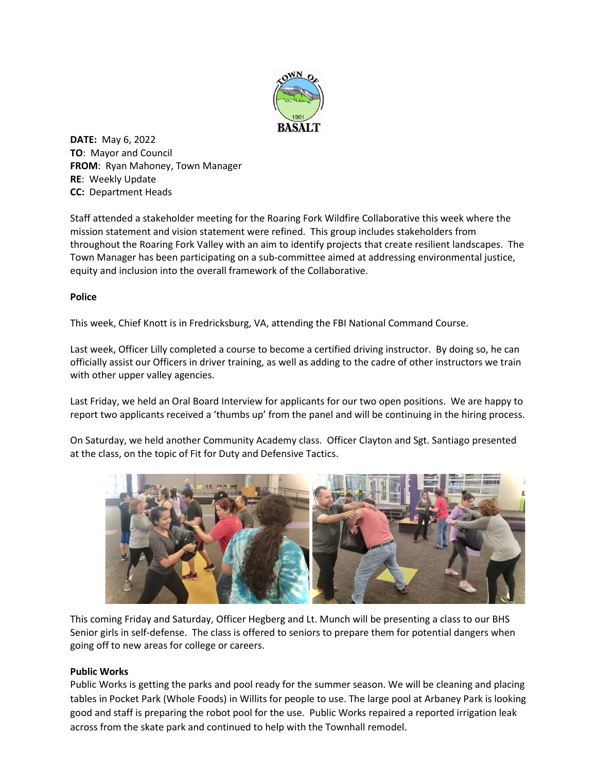

**DATE:** May 6, 2022 **TO**: Mayor and Council **FROM**: Ryan Mahoney, Town Manager **RE**: Weekly Update **CC:** Department Heads

Staff attended a stakeholder meeting for the Roaring Fork Wildfire Collaborative this week where the mission statement and vision statement were refined. This group includes stakeholders from throughout the Roaring Fork Valley with an aim to identify projects that create resilient landscapes. The Town Manager has been participating on a sub-committee aimed at addressing environmental justice, equity and inclusion into the overall framework of the Collaborative.

## **Police**

This week, Chief Knott is in Fredricksburg, VA, attending the FBI National Command Course.

Last week, Officer Lilly completed a course to become a certified driving instructor. By doing so, he can officially assist our Officers in driver training, as well as adding to the cadre of other instructors we train with other upper valley agencies.

Last Friday, we held an Oral Board Interview for applicants for our two open positions. We are happy to report two applicants received a 'thumbs up' from the panel and will be continuing in the hiring process.

On Saturday, we held another Community Academy class. Officer Clayton and Sgt. Santiago presented at the class, on the topic of Fit for Duty and Defensive Tactics.



This coming Friday and Saturday, Officer Hegberg and Lt. Munch will be presenting a class to our BHS Senior girls in self-defense. The class is offered to seniors to prepare them for potential dangers when going off to new areas for college or careers.

## **Public Works**

Public Works is getting the parks and pool ready for the summer season. We will be cleaning and placing tables in Pocket Park (Whole Foods) in Willits for people to use. The large pool at Arbaney Park is looking good and staff is preparing the robot pool for the use. Public Works repaired a reported irrigation leak across from the skate park and continued to help with the Townhall remodel.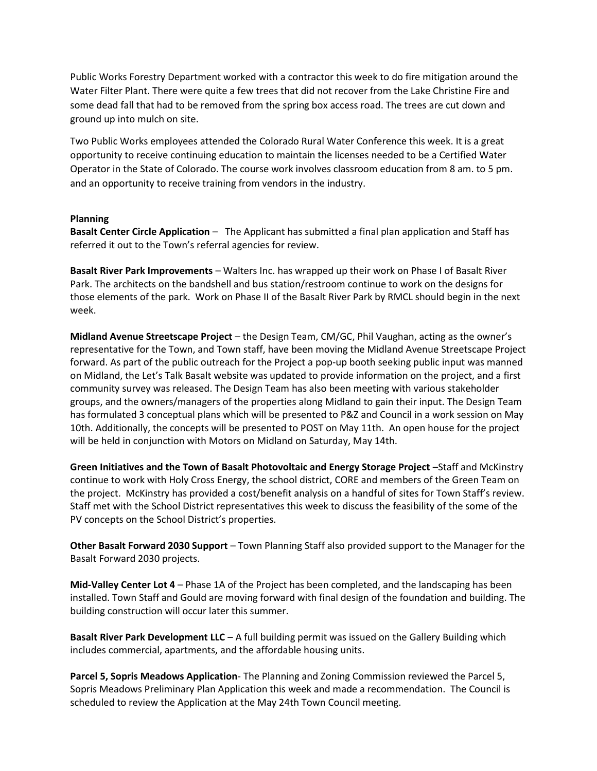Public Works Forestry Department worked with a contractor this week to do fire mitigation around the Water Filter Plant. There were quite a few trees that did not recover from the Lake Christine Fire and some dead fall that had to be removed from the spring box access road. The trees are cut down and ground up into mulch on site.

Two Public Works employees attended the Colorado Rural Water Conference this week. It is a great opportunity to receive continuing education to maintain the licenses needed to be a Certified Water Operator in the State of Colorado. The course work involves classroom education from 8 am. to 5 pm. and an opportunity to receive training from vendors in the industry.

## **Planning**

**Basalt Center Circle Application** – The Applicant has submitted a final plan application and Staff has referred it out to the Town's referral agencies for review.

**Basalt River Park Improvements** – Walters Inc. has wrapped up their work on Phase I of Basalt River Park. The architects on the bandshell and bus station/restroom continue to work on the designs for those elements of the park. Work on Phase II of the Basalt River Park by RMCL should begin in the next week.

**Midland Avenue Streetscape Project** – the Design Team, CM/GC, Phil Vaughan, acting as the owner's representative for the Town, and Town staff, have been moving the Midland Avenue Streetscape Project forward. As part of the public outreach for the Project a pop-up booth seeking public input was manned on Midland, the Let's Talk Basalt website was updated to provide information on the project, and a first community survey was released. The Design Team has also been meeting with various stakeholder groups, and the owners/managers of the properties along Midland to gain their input. The Design Team has formulated 3 conceptual plans which will be presented to P&Z and Council in a work session on May 10th. Additionally, the concepts will be presented to POST on May 11th. An open house for the project will be held in conjunction with Motors on Midland on Saturday, May 14th.

**Green Initiatives and the Town of Basalt Photovoltaic and Energy Storage Project** –Staff and McKinstry continue to work with Holy Cross Energy, the school district, CORE and members of the Green Team on the project. McKinstry has provided a cost/benefit analysis on a handful of sites for Town Staff's review. Staff met with the School District representatives this week to discuss the feasibility of the some of the PV concepts on the School District's properties.

**Other Basalt Forward 2030 Support** – Town Planning Staff also provided support to the Manager for the Basalt Forward 2030 projects.

**Mid-Valley Center Lot 4** – Phase 1A of the Project has been completed, and the landscaping has been installed. Town Staff and Gould are moving forward with final design of the foundation and building. The building construction will occur later this summer.

**Basalt River Park Development LLC** – A full building permit was issued on the Gallery Building which includes commercial, apartments, and the affordable housing units.

**Parcel 5, Sopris Meadows Application**- The Planning and Zoning Commission reviewed the Parcel 5, Sopris Meadows Preliminary Plan Application this week and made a recommendation. The Council is scheduled to review the Application at the May 24th Town Council meeting.